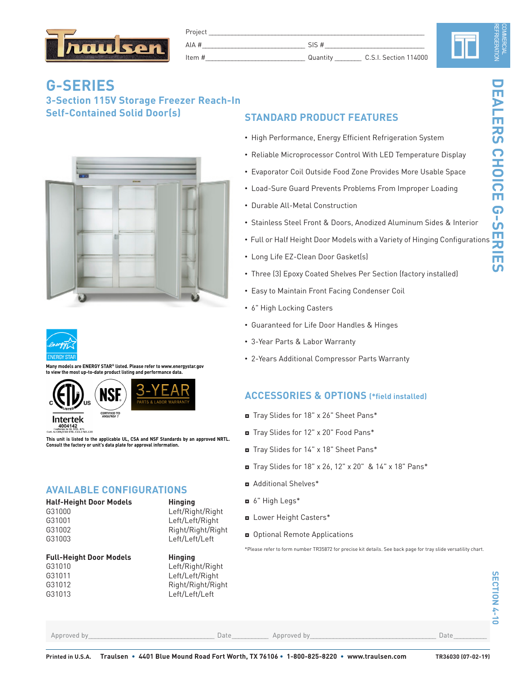

| Project          |  |                       |  |
|------------------|--|-----------------------|--|
| AIA #            |  |                       |  |
| tam t<br>_______ |  | C.S.I. Section 114000 |  |

# **G-SERIES 3-Section 115V Storage Freezer Reach-In Self-Contained Solid Door(s)**





**Many models are ENERGY STAR® listed. Please refer to www.energystar.gov the most up-to-date product listing and performance data.** 





**This unit is listed to the applicable UL, CSA and NSF Standards by an approved NRTL. Consult the factory or unit's data plate for approval information.**

## **AVAILABLE CONFIGURATIONS**

| <b>Half-Height Door Models</b> |  |
|--------------------------------|--|
| G31000                         |  |
| G31001                         |  |
| G31002                         |  |

## **Full-Height Door Models Hinging**



**Hinging** Left/Right/Right Left/Left/Right Right/Right/Right

# **STANDARD PRODUCT FEATURES**

- High Performance, Energy Efficient Refrigeration System
- Reliable Microprocessor Control With LED Temperature Display
- Evaporator Coil Outside Food Zone Provides More Usable Space
- Load-Sure Guard Prevents Problems From Improper Loading
- Durable All-Metal Construction
- Stainless Steel Front & Doors, Anodized Aluminum Sides & Interior
- Full or Half Height Door Models with a Variety of Hinging Configurations
- Long Life EZ-Clean Door Gasket(s)
- Three (3) Epoxy Coated Shelves Per Section (factory installed)
- Easy to Maintain Front Facing Condenser Coil
- 6" High Locking Casters
- Guaranteed for Life Door Handles & Hinges
- 3-Year Parts & Labor Warranty
- 2-Years Additional Compressor Parts Warranty

### **ACCESSORIES & OPTIONS (\*field installed)**

- ◘ Tray Slides for 18" x 26" Sheet Pans\*
- ◘ Tray Slides for 12" x 20" Food Pans\*
- ◘ Tray Slides for 14" x 18" Sheet Pans\*
- ◘ Tray Slides for 18" x 26, 12" x 20" & 14" x 18" Pans\*
- ◘ Additional Shelves\*
- ◘ 6" High Legs\*
- ◘ Lower Height Casters\*
- ◘ Optional Remote Applications

\*Please refer to form number TR35872 for precise kit details. See back page for tray slide versatility chart.

N

Approved by\_\_\_\_\_\_\_\_\_\_\_\_\_\_\_\_\_\_\_\_\_\_\_\_\_\_\_\_\_\_\_\_\_\_\_\_\_\_ Date\_\_\_\_\_\_\_\_\_\_\_ Approved by\_\_\_\_\_\_\_\_\_\_\_\_\_\_\_\_\_\_\_\_\_\_\_\_\_\_\_\_\_\_\_\_\_\_\_\_\_\_ Date\_\_\_\_\_\_\_\_\_\_

**SECTION 4-**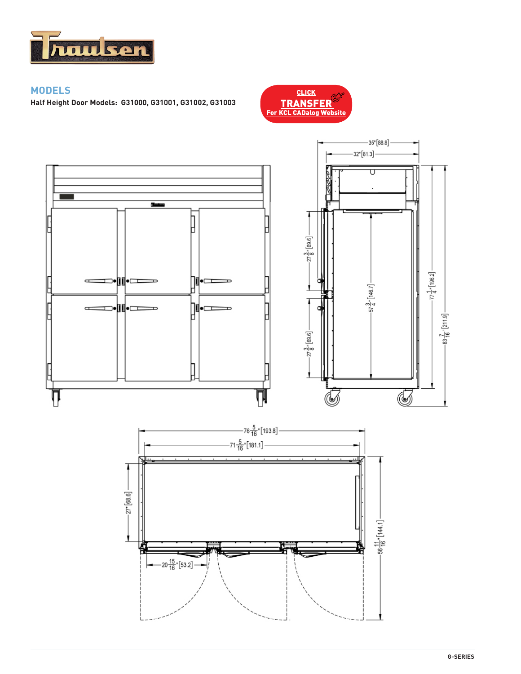

## **MODELS**

**Half Height Door Models: G31000, G31001, G31002, G31003** 



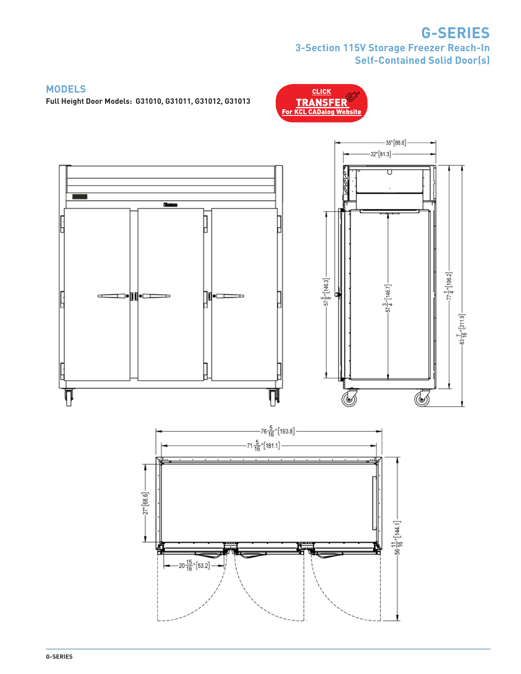# **G-SERIES 3-Section 115V Storage Freezer Reach-In Self-Contained Solid Door(s)**

**CLICK** 

### **MODELS**

**Full Height Door Models: G31010, G31011, G31012, G31013**